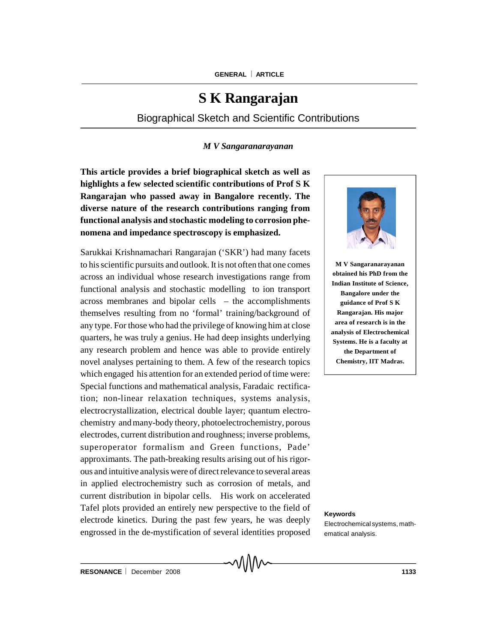# **S K Rangarajan**

Biographical Sketch and Scientific Contributions

#### *M V Sangaranarayanan*

**This article provides a brief biographical sketch as well as highlights a few selected scientific contributions of Prof S K Rangarajan who passed away in Bangalore recently. The diverse nature of the research contributions ranging from functional analysis and stochastic modeling to corrosion phenomena and impedance spectroscopy is emphasized.**

Sarukkai Krishnamachari Rangarajan ('SKR') had many facets to his scientific pursuits and outlook. It is not often that one comes across an individual whose research investigations range from functional analysis and stochastic modelling to ion transport across membranes and bipolar cells – the accomplishments themselves resulting from no 'formal' training/background of any type. For those who had the privilege of knowing him at close quarters, he was truly a genius. He had deep insights underlying any research problem and hence was able to provide entirely novel analyses pertaining to them. A few of the research topics which engaged his attention for an extended period of time were: Special functions and mathematical analysis, Faradaic rectification; non-linear relaxation techniques, systems analysis, electrocrystallization, electrical double layer; quantum electrochemistry and many-body theory, photoelectrochemistry, porous electrodes, current distribution and roughness; inverse problems, superoperator formalism and Green functions, Pade' approximants. The path-breaking results arising out of his rigorous and intuitive analysis were of direct relevance to several areas in applied electrochemistry such as corrosion of metals, and current distribution in bipolar cells. His work on accelerated Tafel plots provided an entirely new perspective to the field of electrode kinetics. During the past few years, he was deeply engrossed in the de-mystification of several identities proposed



**M V Sangaranarayanan obtained his PhD from the Indian Institute of Science, Bangalore under the guidance of Prof S K Rangarajan. His major area of research is in the analysis of Electrochemical Systems. He is a faculty at the Department of Chemistry, IIT Madras.**

#### **Keywords**

Electrochemical systems, mathematical analysis.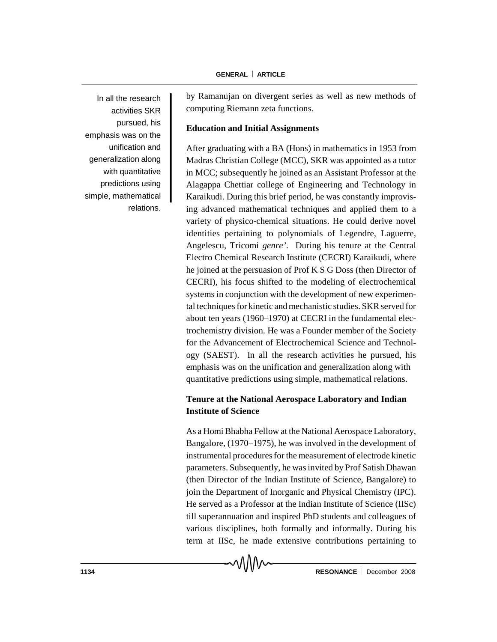In all the research activities SKR pursued, his emphasis was on the unification and generalization along with quantitative predictions using simple, mathematical relations.

by Ramanujan on divergent series as well as new methods of computing Riemann zeta functions.

#### **Education and Initial Assignments**

After graduating with a BA (Hons) in mathematics in 1953 from Madras Christian College (MCC), SKR was appointed as a tutor in MCC; subsequently he joined as an Assistant Professor at the Alagappa Chettiar college of Engineering and Technology in Karaikudi. During this brief period, he was constantly improvising advanced mathematical techniques and applied them to a variety of physico-chemical situations. He could derive novel identities pertaining to polynomials of Legendre, Laguerre, Angelescu, Tricomi *genre'*. During his tenure at the Central Electro Chemical Research Institute (CECRI) Karaikudi, where he joined at the persuasion of Prof K S G Doss (then Director of CECRI), his focus shifted to the modeling of electrochemical systems in conjunction with the development of new experimental techniques for kinetic and mechanistic studies. SKR served for about ten years (1960–1970) at CECRI in the fundamental electrochemistry division. He was a Founder member of the Society for the Advancement of Electrochemical Science and Technology (SAEST). In all the research activities he pursued, his emphasis was on the unification and generalization along with quantitative predictions using simple, mathematical relations.

## **Tenure at the National Aerospace Laboratory and Indian Institute of Science**

As a Homi Bhabha Fellow at the National Aerospace Laboratory, Bangalore, (1970–1975), he was involved in the development of instrumental procedures for the measurement of electrode kinetic parameters. Subsequently, he was invited by Prof Satish Dhawan (then Director of the Indian Institute of Science, Bangalore) to join the Department of Inorganic and Physical Chemistry (IPC). He served as a Professor at the Indian Institute of Science (IISc) till superannuation and inspired PhD students and colleagues of various disciplines, both formally and informally. During his term at IISc, he made extensive contributions pertaining to

MMM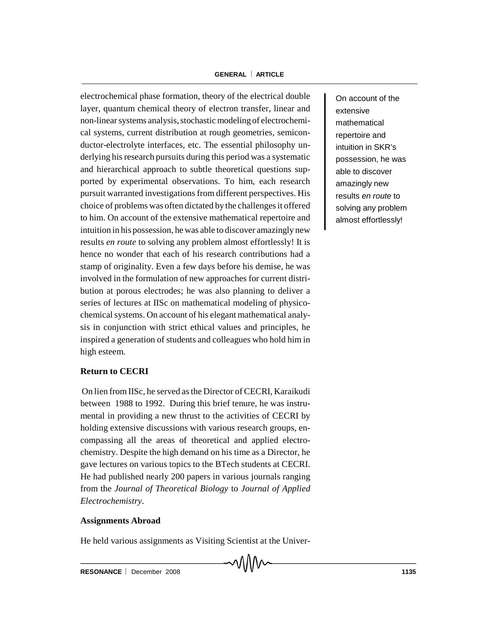#### **GENERAL ARTICLE**

electrochemical phase formation, theory of the electrical double layer, quantum chemical theory of electron transfer, linear and non-linear systems analysis, stochastic modeling of electrochemical systems, current distribution at rough geometries, semiconductor-electrolyte interfaces, etc. The essential philosophy underlying his research pursuits during this period was a systematic and hierarchical approach to subtle theoretical questions supported by experimental observations. To him, each research pursuit warranted investigations from different perspectives. His choice of problems was often dictated by the challenges it offered to him. On account of the extensive mathematical repertoire and intuition in his possession, he was able to discover amazingly new results *en route* to solving any problem almost effortlessly! It is hence no wonder that each of his research contributions had a stamp of originality. Even a few days before his demise, he was involved in the formulation of new approaches for current distribution at porous electrodes; he was also planning to deliver a series of lectures at IISc on mathematical modeling of physicochemical systems. On account of his elegant mathematical analysis in conjunction with strict ethical values and principles, he inspired a generation of students and colleagues who hold him in high esteem.

## **Return to CECRI**

On lien from IISc, he served as the Director of CECRI, Karaikudi between 1988 to 1992. During this brief tenure, he was instrumental in providing a new thrust to the activities of CECRI by holding extensive discussions with various research groups, encompassing all the areas of theoretical and applied electrochemistry. Despite the high demand on his time as a Director, he gave lectures on various topics to the BTech students at CECRI. He had published nearly 200 papers in various journals ranging from the *Journal of Theoretical Biology* to *Journal of Applied Electrochemistry*.

## **Assignments Abroad**

He held various assignments as Visiting Scientist at the Univer-

**RESONANCE** December 2008 **1135** 

On account of the extensive mathematical repertoire and intuition in SKR's possession, he was able to discover amazingly new results *en route* to solving any problem almost effortlessly!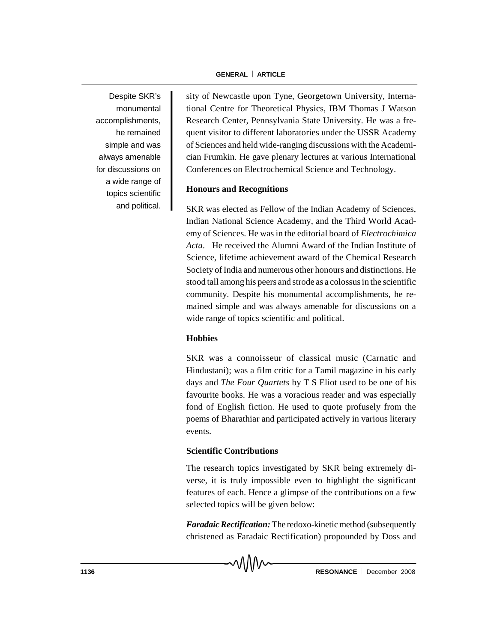Despite SKR's monumental accomplishments, he remained simple and was always amenable for discussions on a wide range of topics scientific and political. sity of Newcastle upon Tyne, Georgetown University, International Centre for Theoretical Physics, IBM Thomas J Watson Research Center, Pennsylvania State University. He was a frequent visitor to different laboratories under the USSR Academy of Sciences and held wide-ranging discussions with the Academician Frumkin. He gave plenary lectures at various International Conferences on Electrochemical Science and Technology.

## **Honours and Recognitions**

SKR was elected as Fellow of the Indian Academy of Sciences, Indian National Science Academy, and the Third World Academy of Sciences. He was in the editorial board of *Electrochimica Acta*. He received the Alumni Award of the Indian Institute of Science, lifetime achievement award of the Chemical Research Society of India and numerous other honours and distinctions. He stood tall among his peers and strode as a colossus in the scientific community. Despite his monumental accomplishments, he remained simple and was always amenable for discussions on a wide range of topics scientific and political.

## **Hobbies**

SKR was a connoisseur of classical music (Carnatic and Hindustani); was a film critic for a Tamil magazine in his early days and *The Four Quartets* by T S Eliot used to be one of his favourite books. He was a voracious reader and was especially fond of English fiction. He used to quote profusely from the poems of Bharathiar and participated actively in various literary events.

## **Scientific Contributions**

៱៱៱៱៷

The research topics investigated by SKR being extremely diverse, it is truly impossible even to highlight the significant features of each. Hence a glimpse of the contributions on a few selected topics will be given below:

*Faradaic Rectification:*The redoxo-kinetic method (subsequently christened as Faradaic Rectification) propounded by Doss and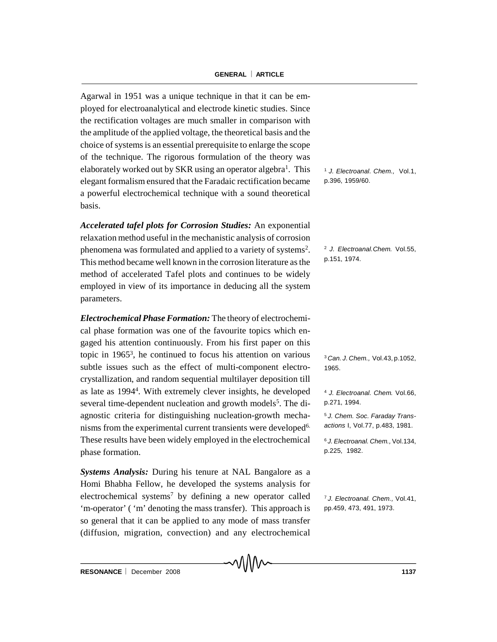Agarwal in 1951 was a unique technique in that it can be employed for electroanalytical and electrode kinetic studies. Since the rectification voltages are much smaller in comparison with the amplitude of the applied voltage, the theoretical basis and the choice of systems is an essential prerequisite to enlarge the scope of the technique. The rigorous formulation of the theory was elaborately worked out by SKR using an operator algebra<sup>1</sup>. This elegant formalism ensured that the Faradaic rectification became a powerful electrochemical technique with a sound theoretical basis.

*Accelerated tafel plots for Corrosion Studies:* An exponential relaxation method useful in the mechanistic analysis of corrosion phenomena was formulated and applied to a variety of systems<sup>2</sup>. This method became well known in the corrosion literature as the method of accelerated Tafel plots and continues to be widely employed in view of its importance in deducing all the system parameters.

*Electrochemical Phase Formation:* The theory of electrochemical phase formation was one of the favourite topics which engaged his attention continuously. From his first paper on this topic in 1965<sup>3</sup> , he continued to focus his attention on various subtle issues such as the effect of multi-component electrocrystallization, and random sequential multilayer deposition till as late as 1994<sup>4</sup> . With extremely clever insights, he developed several time-dependent nucleation and growth models<sup>5</sup>. The diagnostic criteria for distinguishing nucleation-growth mechanisms from the experimental current transients were developed<sup>6.</sup> These results have been widely employed in the electrochemical phase formation.

*Systems Analysis:* During his tenure at NAL Bangalore as a Homi Bhabha Fellow, he developed the systems analysis for electrochemical systems<sup>7</sup> by defining a new operator called 'm-operator' ( 'm' denoting the mass transfer). This approach is so general that it can be applied to any mode of mass transfer (diffusion, migration, convection) and any electrochemical <sup>1</sup> *J. Electroanal. Chem.,* Vol.1, p.396, 1959/60.

<sup>2</sup> *J. Electroanal.Chem.* Vol.55, p.151, 1974.

<sup>3</sup> *Can. J. Chem.,* Vol.43, p.1052, 1965.

<sup>4</sup> *J. Electroanal. Chem.* Vol.66, p.271, 1994.

<sup>5</sup> *J. Chem. Soc. Faraday Transactions* I, Vol.77, p.483, 1981.

<sup>6</sup> J. Electroanal. Chem., Vol.134, p.225, 1982.

<sup>7</sup> *J. Electroanal. Chem.,* Vol.41, pp.459, 473, 491, 1973.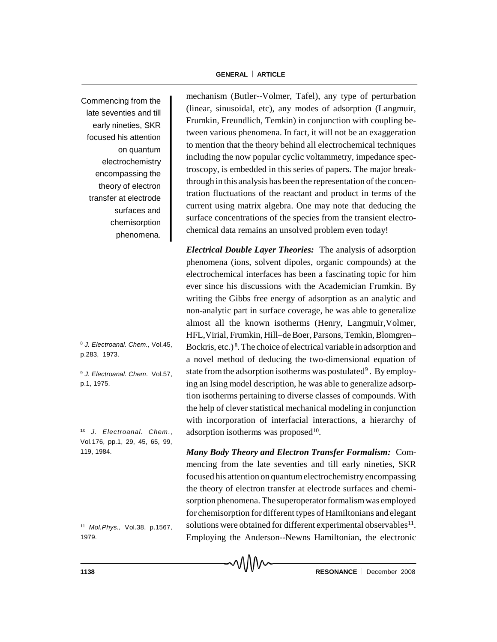Commencing from the late seventies and till early nineties, SKR focused his attention on quantum electrochemistry encompassing the theory of electron transfer at electrode surfaces and chemisorption phenomena.

<sup>8</sup> *J. Electroanal. Chem.,* Vol.45, p.283, 1973.

<sup>9</sup> *J. Electroanal. Chem*. Vol.57, p.1, 1975.

<sup>10</sup> *J. Electroanal. Chem*., Vol.176, pp.1, 29, 45, 65, 99, 119, 1984.

<sup>11</sup> *Mol.Phys.,* Vol.38, p.1567, 1979.

mechanism (Butler--Volmer, Tafel), any type of perturbation (linear, sinusoidal, etc), any modes of adsorption (Langmuir, Frumkin, Freundlich, Temkin) in conjunction with coupling between various phenomena. In fact, it will not be an exaggeration to mention that the theory behind all electrochemical techniques including the now popular cyclic voltammetry, impedance spectroscopy, is embedded in this series of papers. The major breakthrough in this analysis has been the representation of the concentration fluctuations of the reactant and product in terms of the current using matrix algebra. One may note that deducing the surface concentrations of the species from the transient electrochemical data remains an unsolved problem even today!

*Electrical Double Layer Theories:* The analysis of adsorption phenomena (ions, solvent dipoles, organic compounds) at the electrochemical interfaces has been a fascinating topic for him ever since his discussions with the Academician Frumkin. By writing the Gibbs free energy of adsorption as an analytic and non-analytic part in surface coverage, he was able to generalize almost all the known isotherms (Henry, Langmuir,Volmer, HFL,Virial, Frumkin, Hill–de Boer, Parsons, Temkin, Blomgren– Bockris, etc.)<sup>8</sup>. The choice of electrical variable in adsorption and a novel method of deducing the two-dimensional equation of state from the adsorption isotherms was postulated $9$ . By employing an Ising model description, he was able to generalize adsorption isotherms pertaining to diverse classes of compounds. With the help of clever statistical mechanical modeling in conjunction with incorporation of interfacial interactions, a hierarchy of adsorption isotherms was proposed $10$ .

*Many Body Theory and Electron Transfer Formalism:* Commencing from the late seventies and till early nineties, SKR focused his attention on quantum electrochemistry encompassing the theory of electron transfer at electrode surfaces and chemisorption phenomena. The superoperator formalism was employed for chemisorption for different types of Hamiltonians and elegant solutions were obtained for different experimental observables $^{11}$ . Employing the Anderson--Newns Hamiltonian, the electronic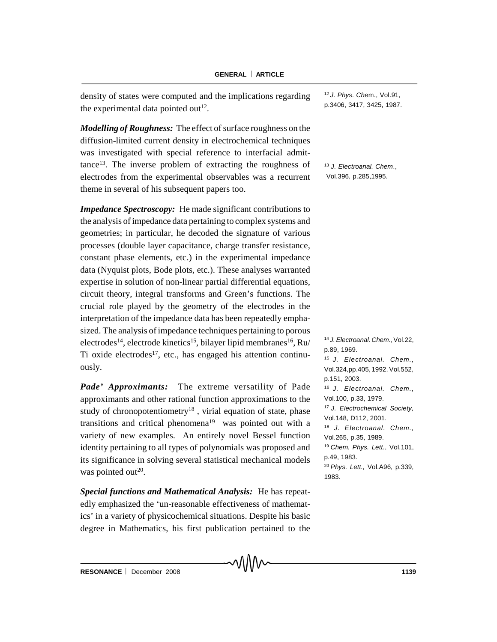density of states were computed and the implications regarding the experimental data pointed out $^{12}$ .

*Modelling of Roughness:* The effect of surface roughness on the diffusion-limited current density in electrochemical techniques was investigated with special reference to interfacial admittance<sup>13</sup>. The inverse problem of extracting the roughness of electrodes from the experimental observables was a recurrent theme in several of his subsequent papers too.

*Impedance Spectroscopy:* He made significant contributions to the analysis of impedance data pertaining to complex systems and geometries; in particular, he decoded the signature of various processes (double layer capacitance, charge transfer resistance, constant phase elements, etc.) in the experimental impedance data (Nyquist plots, Bode plots, etc.). These analyses warranted expertise in solution of non-linear partial differential equations, circuit theory, integral transforms and Green's functions. The crucial role played by the geometry of the electrodes in the interpretation of the impedance data has been repeatedly emphasized. The analysis of impedance techniques pertaining to porous electrodes<sup>14</sup>, electrode kinetics<sup>15</sup>, bilayer lipid membranes<sup>16</sup>, Ru/ Ti oxide electrodes<sup>17</sup>, etc., has engaged his attention continuously.

*Pade' Approximants:* The extreme versatility of Pade approximants and other rational function approximations to the study of chronopotentiometry<sup>18</sup>, virial equation of state, phase transitions and critical phenomena<sup>19</sup> was pointed out with a variety of new examples. An entirely novel Bessel function identity pertaining to all types of polynomials was proposed and its significance in solving several statistical mechanical models was pointed out $20$ .

*Special functions and Mathematical Analysis:* He has repeatedly emphasized the 'un-reasonable effectiveness of mathematics' in a variety of physicochemical situations. Despite his basic degree in Mathematics, his first publication pertained to the <sup>12</sup> *J. Phys. Che*m., Vol.91, p.3406, 3417, 3425, 1987.

<sup>13</sup> *J. Electroanal. Chem*., Vol.396, p.285,1995.

<sup>14</sup> *J. Electroanal. Chem.*, Vol.22, p.89, 1969. <sup>15</sup> *J. Electroanal. Chem.,* Vol.324,pp.405, 1992. Vol.552, p.151, 2003. <sup>16</sup> *J. Electroanal. Chem.,* Vol.100, p.33, 1979. <sup>17</sup> *J. Electrochemical Society,* Vol.148, D112, 2001. <sup>18</sup> *J. Electroanal. Chem.,* Vol.265, p.35, 1989. <sup>19</sup> *Chem. Phys. Lett.*, Vol.101, p.49, 1983. <sup>20</sup> *Phys. Lett.,* Vol.A96, p.339, 1983.